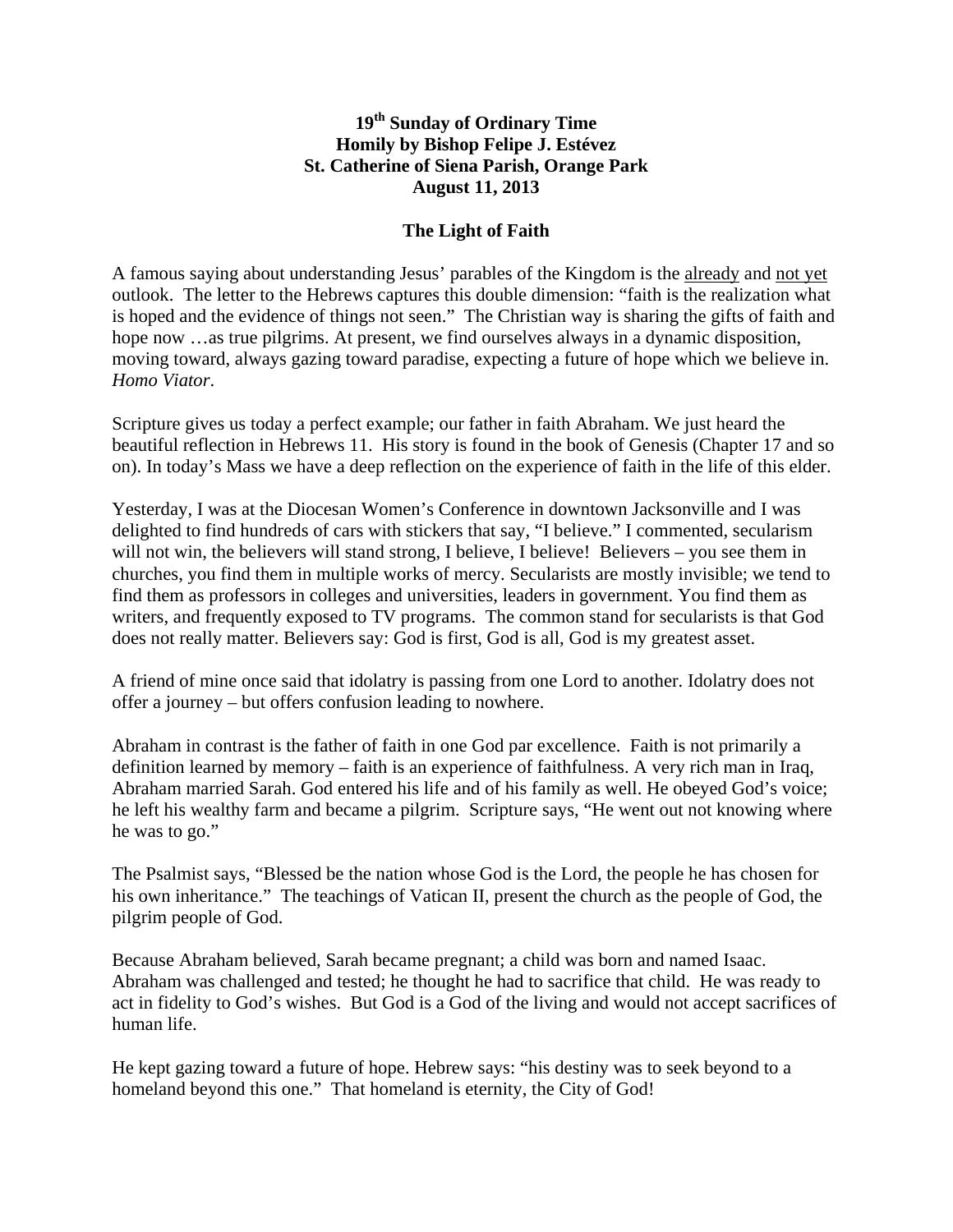## **19th Sunday of Ordinary Time Homily by Bishop Felipe J. Estévez St. Catherine of Siena Parish, Orange Park August 11, 2013**

## **The Light of Faith**

A famous saying about understanding Jesus' parables of the Kingdom is the already and not yet outlook. The letter to the Hebrews captures this double dimension: "faith is the realization what is hoped and the evidence of things not seen." The Christian way is sharing the gifts of faith and hope now …as true pilgrims. At present, we find ourselves always in a dynamic disposition, moving toward, always gazing toward paradise, expecting a future of hope which we believe in. *Homo Viator*.

Scripture gives us today a perfect example; our father in faith Abraham. We just heard the beautiful reflection in Hebrews 11. His story is found in the book of Genesis (Chapter 17 and so on). In today's Mass we have a deep reflection on the experience of faith in the life of this elder.

Yesterday, I was at the Diocesan Women's Conference in downtown Jacksonville and I was delighted to find hundreds of cars with stickers that say, "I believe." I commented, secularism will not win, the believers will stand strong, I believe, I believe! Believers – you see them in churches, you find them in multiple works of mercy. Secularists are mostly invisible; we tend to find them as professors in colleges and universities, leaders in government. You find them as writers, and frequently exposed to TV programs. The common stand for secularists is that God does not really matter. Believers say: God is first, God is all, God is my greatest asset.

A friend of mine once said that idolatry is passing from one Lord to another. Idolatry does not offer a journey – but offers confusion leading to nowhere.

Abraham in contrast is the father of faith in one God par excellence. Faith is not primarily a definition learned by memory – faith is an experience of faithfulness. A very rich man in Iraq, Abraham married Sarah. God entered his life and of his family as well. He obeyed God's voice; he left his wealthy farm and became a pilgrim. Scripture says, "He went out not knowing where he was to go."

The Psalmist says, "Blessed be the nation whose God is the Lord, the people he has chosen for his own inheritance." The teachings of Vatican II, present the church as the people of God, the pilgrim people of God.

Because Abraham believed, Sarah became pregnant; a child was born and named Isaac. Abraham was challenged and tested; he thought he had to sacrifice that child. He was ready to act in fidelity to God's wishes. But God is a God of the living and would not accept sacrifices of human life.

He kept gazing toward a future of hope. Hebrew says: "his destiny was to seek beyond to a homeland beyond this one." That homeland is eternity, the City of God!